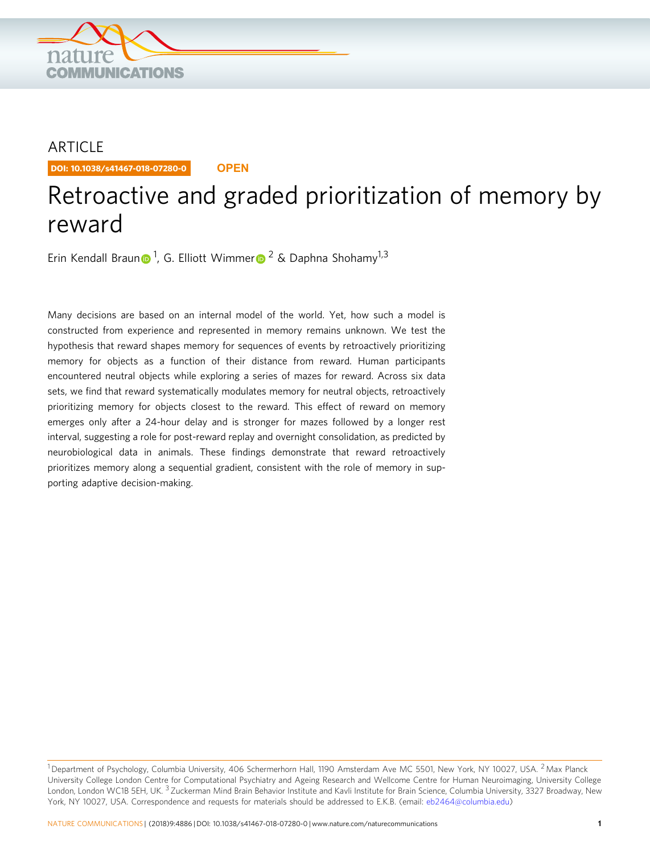

# ARTICLE

DOI: 10.1038/s41467-018-07280-0 **OPEN**

# Retroactive and graded prioritization of memory by reward

Eri[n](http://orcid.org/0000-0002-0600-1712) Kendall Braun <sup>[1](http://orcid.org/0000-0002-0600-1712)</sup>, G. Elliott Wimme[r](http://orcid.org/0000-0002-2227-119X) <sup>[2](http://orcid.org/0000-0002-2227-119X)</sup> & Daphna Shohamy<sup>1,3</sup>

Many decisions are based on an internal model of the world. Yet, how such a model is constructed from experience and represented in memory remains unknown. We test the hypothesis that reward shapes memory for sequences of events by retroactively prioritizing memory for objects as a function of their distance from reward. Human participants encountered neutral objects while exploring a series of mazes for reward. Across six data sets, we find that reward systematically modulates memory for neutral objects, retroactively prioritizing memory for objects closest to the reward. This effect of reward on memory emerges only after a 24-hour delay and is stronger for mazes followed by a longer rest interval, suggesting a role for post-reward replay and overnight consolidation, as predicted by neurobiological data in animals. These findings demonstrate that reward retroactively prioritizes memory along a sequential gradient, consistent with the role of memory in supporting adaptive decision-making.

<sup>&</sup>lt;sup>1</sup> Department of Psychology, Columbia University, 406 Schermerhorn Hall, 1190 Amsterdam Ave MC 5501, New York, NY 10027, USA. <sup>2</sup> Max Planck University College London Centre for Computational Psychiatry and Ageing Research and Wellcome Centre for Human Neuroimaging, University College London, London WC1B 5EH, UK.<sup>3</sup> Zuckerman Mind Brain Behavior Institute and Kavli Institute for Brain Science, Columbia University, 3327 Broadway, New York, NY 10027, USA. Correspondence and requests for materials should be addressed to E.K.B. (email: [eb2464@columbia.edu\)](mailto:eb2464@columbia.edu)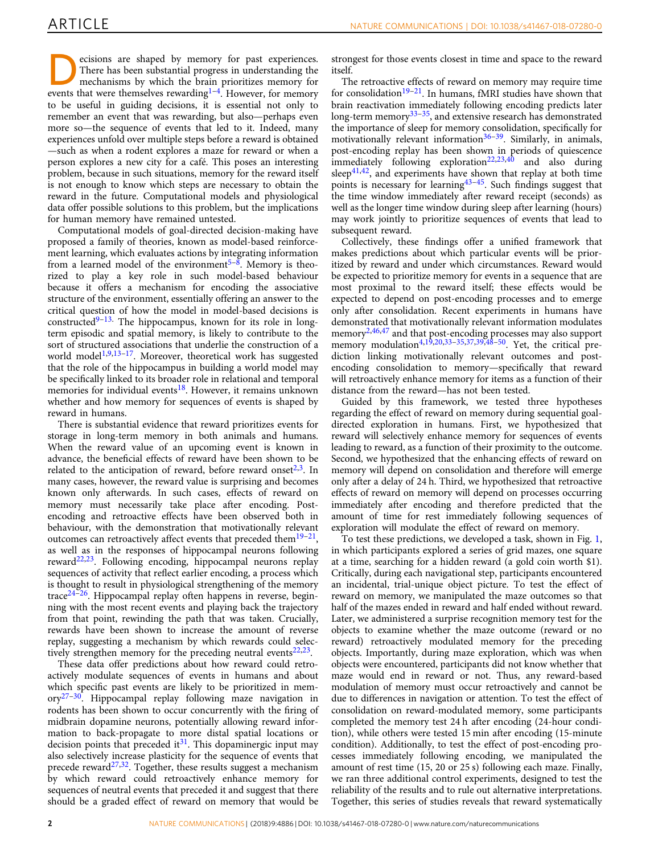ecisions are shaped by memory for past experiences. There has been substantial progress in understanding the mechanisms by which the brain prioritizes memory for events that were themselves rewarding<sup>[1](#page-10-0)-4</sup>. However, for memory to be useful in guiding decisions, it is essential not only to remember an event that was rewarding, but also—perhaps even more so—the sequence of events that led to it. Indeed, many experiences unfold over multiple steps before a reward is obtained —such as when a rodent explores a maze for reward or when a person explores a new city for a café. This poses an interesting problem, because in such situations, memory for the reward itself is not enough to know which steps are necessary to obtain the reward in the future. Computational models and physiological data offer possible solutions to this problem, but the implications for human memory have remained untested.

Computational models of goal-directed decision-making have proposed a family of theories, known as model-based reinforcement learning, which evaluates actions by integrating information from a learned model of the environment<sup>[5](#page-10-0)–8</sup>. Memory is theorized to play a key role in such model-based behaviour because it offers a mechanism for encoding the associative structure of the environment, essentially offering an answer to the critical question of how the model in model-based decisions is constructed $9-13$  $9-13$ . The hippocampus, known for its role in longterm episodic and spatial memory, is likely to contribute to the sort of structured associations that underlie the construction of a world model<sup>[1,9](#page-10-0),[13](#page-10-0)-[17](#page-10-0)</sup>. Moreover, theoretical work has suggested that the role of the hippocampus in building a world model may be specifically linked to its broader role in relational and temporal memories for individual events<sup>18</sup>. However, it remains unknown whether and how memory for sequences of events is shaped by reward in humans.

There is substantial evidence that reward prioritizes events for storage in long-term memory in both animals and humans. When the reward value of an upcoming event is known in advance, the beneficial effects of reward have been shown to be related to the anticipation of reward, before reward onset<sup>2,3</sup>. In many cases, however, the reward value is surprising and becomes known only afterwards. In such cases, effects of reward on memory must necessarily take place after encoding. Postencoding and retroactive effects have been observed both in behaviour, with the demonstration that motivationally relevant outcomes can retroactively affect events that preceded them<sup>19–21</sup>, as well as in the responses of hippocampal neurons following reward<sup>[22](#page-10-0),[23](#page-10-0)</sup>. Following encoding, hippocampal neurons replay sequences of activity that reflect earlier encoding, a process which is thought to result in physiological strengthening of the memory trace<sup>[24](#page-10-0)–[26](#page-10-0)</sup>. Hippocampal replay often happens in reverse, beginning with the most recent events and playing back the trajectory from that point, rewinding the path that was taken. Crucially, rewards have been shown to increase the amount of reverse replay, suggesting a mechanism by which rewards could selectively strengthen memory for the preceding neutral events $22,23$ .

These data offer predictions about how reward could retroactively modulate sequences of events in humans and about which specific past events are likely to be prioritized in memory[27](#page-10-0)–[30](#page-10-0). Hippocampal replay following maze navigation in rodents has been shown to occur concurrently with the firing of midbrain dopamine neurons, potentially allowing reward information to back-propagate to more distal spatial locations or decision points that preceded it $31$ . This dopaminergic input may also selectively increase plasticity for the sequence of events that precede reward $27,32$  $27,32$ . Together, these results suggest a mechanism by which reward could retroactively enhance memory for sequences of neutral events that preceded it and suggest that there should be a graded effect of reward on memory that would be

strongest for those events closest in time and space to the reward itself.

The retroactive effects of reward on memory may require time for consolidation<sup>[19](#page-10-0)–21</sup>. In humans, fMRI studies have shown that brain reactivation immediately following encoding predicts later long-term memory<sup>33–35</sup>, and extensive research has demonstrated the importance of sleep for memory consolidation, specifically for motivationally relevant information $36-39$  $36-39$  $36-39$ . Similarly, in animals, post-encoding replay has been shown in periods of quiescence immediately following exploration<sup>[22,23,40](#page-10-0)</sup> and also during sleep<sup>[41,42](#page-10-0)</sup>, and experiments have shown that replay at both time points is necessary for learning  $43-45$  $43-45$ . Such findings suggest that the time window immediately after reward receipt (seconds) as well as the longer time window during sleep after learning (hours) may work jointly to prioritize sequences of events that lead to subsequent reward.

Collectively, these findings offer a unified framework that makes predictions about which particular events will be prioritized by reward and under which circumstances. Reward would be expected to prioritize memory for events in a sequence that are most proximal to the reward itself; these effects would be expected to depend on post-encoding processes and to emerge only after consolidation. Recent experiments in humans have demonstrated that motivationally relevant information modulates memory[2](#page-10-0),[46,47](#page-10-0) and that post-encoding processes may also support memory modulation<sup>[4,19,20,33](#page-10-0)–[35,37,39,48](#page-10-0)–[50](#page-10-0)</sup>. Yet, the critical prediction linking motivationally relevant outcomes and postencoding consolidation to memory—specifically that reward will retroactively enhance memory for items as a function of their distance from the reward—has not been tested.

Guided by this framework, we tested three hypotheses regarding the effect of reward on memory during sequential goaldirected exploration in humans. First, we hypothesized that reward will selectively enhance memory for sequences of events leading to reward, as a function of their proximity to the outcome. Second, we hypothesized that the enhancing effects of reward on memory will depend on consolidation and therefore will emerge only after a delay of 24 h. Third, we hypothesized that retroactive effects of reward on memory will depend on processes occurring immediately after encoding and therefore predicted that the amount of time for rest immediately following sequences of exploration will modulate the effect of reward on memory.

To test these predictions, we developed a task, shown in Fig. [1,](#page-2-0) in which participants explored a series of grid mazes, one square at a time, searching for a hidden reward (a gold coin worth \$1). Critically, during each navigational step, participants encountered an incidental, trial-unique object picture. To test the effect of reward on memory, we manipulated the maze outcomes so that half of the mazes ended in reward and half ended without reward. Later, we administered a surprise recognition memory test for the objects to examine whether the maze outcome (reward or no reward) retroactively modulated memory for the preceding objects. Importantly, during maze exploration, which was when objects were encountered, participants did not know whether that maze would end in reward or not. Thus, any reward-based modulation of memory must occur retroactively and cannot be due to differences in navigation or attention. To test the effect of consolidation on reward-modulated memory, some participants completed the memory test 24 h after encoding (24-hour condition), while others were tested 15 min after encoding (15-minute condition). Additionally, to test the effect of post-encoding processes immediately following encoding, we manipulated the amount of rest time (15, 20 or 25 s) following each maze. Finally, we ran three additional control experiments, designed to test the reliability of the results and to rule out alternative interpretations. Together, this series of studies reveals that reward systematically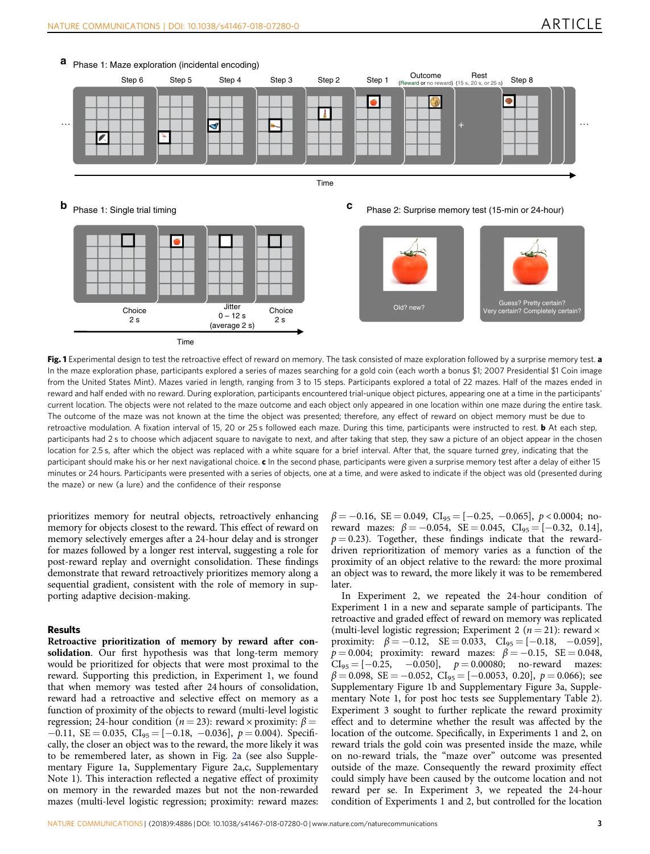

<span id="page-2-0"></span>**a** Phase 1: Maze exploration (incidental encoding)





Fig. 1 Experimental design to test the retroactive effect of reward on memory. The task consisted of maze exploration followed by a surprise memory test. a In the maze exploration phase, participants explored a series of mazes searching for a gold coin (each worth a bonus \$1; 2007 Presidential \$1 Coin image from the United States Mint). Mazes varied in length, ranging from 3 to 15 steps. Participants explored a total of 22 mazes. Half of the mazes ended in reward and half ended with no reward. During exploration, participants encountered trial-unique object pictures, appearing one at a time in the participants' current location. The objects were not related to the maze outcome and each object only appeared in one location within one maze during the entire task. The outcome of the maze was not known at the time the object was presented; therefore, any effect of reward on object memory must be due to retroactive modulation. A fixation interval of 15, 20 or 25 s followed each maze. During this time, participants were instructed to rest. **b** At each step, participants had 2 s to choose which adjacent square to navigate to next, and after taking that step, they saw a picture of an object appear in the chosen location for 2.5 s, after which the object was replaced with a white square for a brief interval. After that, the square turned grey, indicating that the participant should make his or her next navigational choice. c In the second phase, participants were given a surprise memory test after a delay of either 15 minutes or 24 hours. Participants were presented with a series of objects, one at a time, and were asked to indicate if the object was old (presented during the maze) or new (a lure) and the confidence of their response

prioritizes memory for neutral objects, retroactively enhancing memory for objects closest to the reward. This effect of reward on memory selectively emerges after a 24-hour delay and is stronger for mazes followed by a longer rest interval, suggesting a role for post-reward replay and overnight consolidation. These findings demonstrate that reward retroactively prioritizes memory along a sequential gradient, consistent with the role of memory in supporting adaptive decision-making.

## Results

Retroactive prioritization of memory by reward after consolidation. Our first hypothesis was that long-term memory would be prioritized for objects that were most proximal to the reward. Supporting this prediction, in Experiment 1, we found that when memory was tested after 24 hours of consolidation, reward had a retroactive and selective effect on memory as a function of proximity of the objects to reward (multi-level logistic regression; 24-hour condition ( $n = 23$ ): reward × proximity:  $β =$  $-0.11$ , SE = 0.035, CI<sub>95</sub> = [-0.18, -0.036],  $p = 0.004$ ). Specifically, the closer an object was to the reward, the more likely it was to be remembered later, as shown in Fig. [2](#page-4-0)a (see also Supplementary Figure 1a, Supplementary Figure 2a,c, Supplementary Note 1). This interaction reflected a negative effect of proximity on memory in the rewarded mazes but not the non-rewarded mazes (multi-level logistic regression; proximity: reward mazes:

 $\beta = -0.16$ , SE = 0.049, CI<sub>95</sub> = [-0.25, -0.065],  $p < 0.0004$ ; noreward mazes:  $β = -0.054$ ,  $SE = 0.045$ ,  $CI<sub>95</sub> = [-0.32, 0.14]$ ,  $p = 0.23$ ). Together, these findings indicate that the rewarddriven reprioritization of memory varies as a function of the proximity of an object relative to the reward: the more proximal an object was to reward, the more likely it was to be remembered later.

In Experiment 2, we repeated the 24-hour condition of Experiment 1 in a new and separate sample of participants. The retroactive and graded effect of reward on memory was replicated (multi-level logistic regression; Experiment 2 ( $n = 21$ ): reward  $\times$ proximity:  $\beta = -0.12$ ,  $SE = 0.033$ ,  $CI_{95} = [-0.18, -0.059]$ ,  $p = 0.004$ ; proximity: reward mazes:  $\beta = -0.15$ , SE = 0.048, CI<sub>95</sub> = [-0.25, -0.050],  $p = 0.00080$ ; no-reward mazes:  $\beta = 0.098$ , SE = -0.052, CI<sub>95</sub> = [-0.0053, 0.20],  $p = 0.066$ ); see Supplementary Figure 1b and Supplementary Figure 3a, Supplementary Note 1, for post hoc tests see Supplementary Table 2). Experiment 3 sought to further replicate the reward proximity effect and to determine whether the result was affected by the location of the outcome. Specifically, in Experiments 1 and 2, on reward trials the gold coin was presented inside the maze, while on no-reward trials, the "maze over" outcome was presented outside of the maze. Consequently the reward proximity effect could simply have been caused by the outcome location and not reward per se. In Experiment 3, we repeated the 24-hour condition of Experiments 1 and 2, but controlled for the location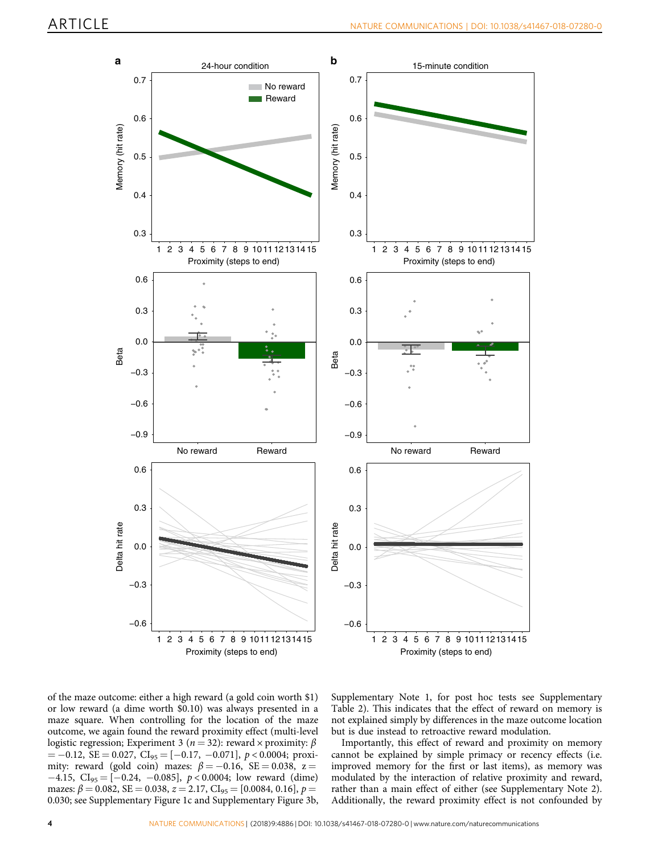

of the maze outcome: either a high reward (a gold coin worth \$1) or low reward (a dime worth \$0.10) was always presented in a maze square. When controlling for the location of the maze outcome, we again found the reward proximity effect (multi-level logistic regression; Experiment 3 ( $n = 32$ ): reward × proximity: β  $= -0.12$ , SE = 0.027, CI<sub>95</sub> = [-0.17, -0.071], p < 0.0004; proximity: reward (gold coin) mazes:  $\beta = -0.16$ , SE = 0.038, z =  $-4.15$ , CI<sub>95</sub> = [ $-0.24$ ,  $-0.085$ ],  $p < 0.0004$ ; low reward (dime) mazes:  $\beta = 0.082$ , SE = 0.038,  $z = 2.17$ , CI<sub>95</sub> = [0.0084, 0.16],  $p =$ 0.030; see Supplementary Figure 1c and Supplementary Figure 3b,

Supplementary Note 1, for post hoc tests see Supplementary Table 2). This indicates that the effect of reward on memory is not explained simply by differences in the maze outcome location but is due instead to retroactive reward modulation.

Importantly, this effect of reward and proximity on memory cannot be explained by simple primacy or recency effects (i.e. improved memory for the first or last items), as memory was modulated by the interaction of relative proximity and reward, rather than a main effect of either (see Supplementary Note 2). Additionally, the reward proximity effect is not confounded by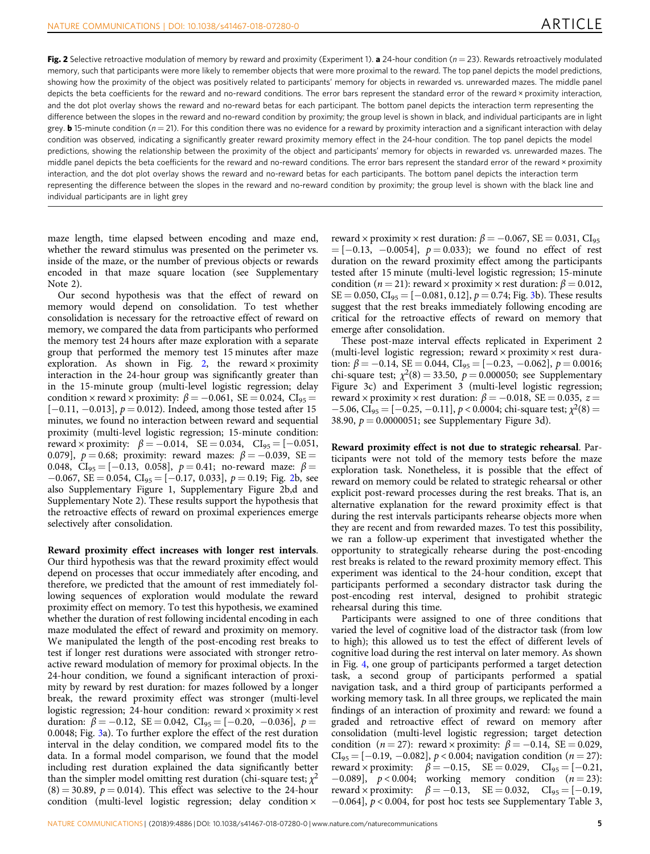<span id="page-4-0"></span>Fig. 2 Selective retroactive modulation of memory by reward and proximity (Experiment 1). a 24-hour condition ( $n = 23$ ). Rewards retroactively modulated memory, such that participants were more likely to remember objects that were more proximal to the reward. The top panel depicts the model predictions, showing how the proximity of the object was positively related to participants' memory for objects in rewarded vs. unrewarded mazes. The middle panel depicts the beta coefficients for the reward and no-reward conditions. The error bars represent the standard error of the reward × proximity interaction, and the dot plot overlay shows the reward and no-reward betas for each participant. The bottom panel depicts the interaction term representing the difference between the slopes in the reward and no-reward condition by proximity; the group level is shown in black, and individual participants are in light grey. **b** 15-minute condition ( $n = 21$ ). For this condition there was no evidence for a reward by proximity interaction and a significant interaction with delay condition was observed, indicating a significantly greater reward proximity memory effect in the 24-hour condition. The top panel depicts the model predictions, showing the relationship between the proximity of the object and participants' memory for objects in rewarded vs. unrewarded mazes. The middle panel depicts the beta coefficients for the reward and no-reward conditions. The error bars represent the standard error of the reward × proximity interaction, and the dot plot overlay shows the reward and no-reward betas for each participants. The bottom panel depicts the interaction term representing the difference between the slopes in the reward and no-reward condition by proximity; the group level is shown with the black line and individual participants are in light grey

maze length, time elapsed between encoding and maze end, whether the reward stimulus was presented on the perimeter vs. inside of the maze, or the number of previous objects or rewards encoded in that maze square location (see Supplementary Note 2).

Our second hypothesis was that the effect of reward on memory would depend on consolidation. To test whether consolidation is necessary for the retroactive effect of reward on memory, we compared the data from participants who performed the memory test 24 hours after maze exploration with a separate group that performed the memory test 15 minutes after maze exploration. As shown in Fig. 2, the reward  $\times$  proximity interaction in the 24-hour group was significantly greater than in the 15-minute group (multi-level logistic regression; delay condition × reward × proximity:  $\beta = -0.061$ , SE = 0.024, CI<sub>95</sub> =  $[-0.11, -0.013], p = 0.012$ . Indeed, among those tested after 15 minutes, we found no interaction between reward and sequential proximity (multi-level logistic regression; 15-minute condition: reward × proximity:  $\beta = -0.014$ , SE = 0.034, CI<sub>95</sub> = [-0.051, 0.079],  $p = 0.68$ ; proximity: reward mazes:  $\beta = -0.039$ , SE = 0.048,  $CI_{95} = [-0.13, 0.058], p = 0.41;$  no-reward maze:  $\beta =$  $-0.067$ , SE = 0.054, CI<sub>95</sub> = [ $-0.17$ , 0.033],  $p = 0.19$ ; Fig. 2b, see also Supplementary Figure 1, Supplementary Figure 2b,d and Supplementary Note 2). These results support the hypothesis that the retroactive effects of reward on proximal experiences emerge selectively after consolidation.

Reward proximity effect increases with longer rest intervals. Our third hypothesis was that the reward proximity effect would depend on processes that occur immediately after encoding, and therefore, we predicted that the amount of rest immediately following sequences of exploration would modulate the reward proximity effect on memory. To test this hypothesis, we examined whether the duration of rest following incidental encoding in each maze modulated the effect of reward and proximity on memory. We manipulated the length of the post-encoding rest breaks to test if longer rest durations were associated with stronger retroactive reward modulation of memory for proximal objects. In the 24-hour condition, we found a significant interaction of proximity by reward by rest duration: for mazes followed by a longer break, the reward proximity effect was stronger (multi-level logistic regression; 24-hour condition: reward  $\times$  proximity  $\times$  rest duration:  $\beta = -0.12$ , SE = 0.042, CI<sub>95</sub> = [-0.20, -0.036],  $p =$ 0.0048; Fig. [3](#page-5-0)a). To further explore the effect of the rest duration interval in the delay condition, we compared model fits to the data. In a formal model comparison, we found that the model including rest duration explained the data significantly better than the simpler model omitting rest duration (chi-square test;  $\chi^2$  $(8) = 30.89$ ,  $p = 0.014$ ). This effect was selective to the 24-hour condition (multi-level logistic regression; delay condition ×

reward × proximity × rest duration:  $\beta = -0.067$ , SE = 0.031, CI<sub>95</sub>  $=[-0.13, -0.0054], p = 0.033$ ; we found no effect of rest duration on the reward proximity effect among the participants tested after 15 minute (multi-level logistic regression; 15-minute condition ( $n = 21$ ): reward × proximity × rest duration:  $\beta = 0.012$ ,  $SE = 0.050$ ,  $CI_{95} = [-0.081, 0.12]$ ,  $p = 0.74$ ; Fig. [3b](#page-5-0)). These results suggest that the rest breaks immediately following encoding are critical for the retroactive effects of reward on memory that emerge after consolidation.

These post-maze interval effects replicated in Experiment 2 (multi-level logistic regression; reward  $\times$  proximity  $\times$  rest duration:  $\beta = -0.14$ , SE = 0.044, CI<sub>95</sub> = [-0.23, -0.062],  $p = 0.0016$ ; chi-square test;  $\chi^2(8) = 33.50$ ,  $p = 0.000050$ ; see Supplementary Figure 3c) and Experiment 3 (multi-level logistic regression; reward × proximity × rest duration:  $\beta = -0.018$ , SE = 0.035, z = −5.06, CI<sub>95</sub> = [−0.25, −0.11], *p* < 0.0004; chi-square test;  $\chi^2(8)$  = 38.90,  $p = 0.0000051$ ; see Supplementary Figure 3d).

Reward proximity effect is not due to strategic rehearsal. Participants were not told of the memory tests before the maze exploration task. Nonetheless, it is possible that the effect of reward on memory could be related to strategic rehearsal or other explicit post-reward processes during the rest breaks. That is, an alternative explanation for the reward proximity effect is that during the rest intervals participants rehearse objects more when they are recent and from rewarded mazes. To test this possibility, we ran a follow-up experiment that investigated whether the opportunity to strategically rehearse during the post-encoding rest breaks is related to the reward proximity memory effect. This experiment was identical to the 24-hour condition, except that participants performed a secondary distractor task during the post-encoding rest interval, designed to prohibit strategic rehearsal during this time.

Participants were assigned to one of three conditions that varied the level of cognitive load of the distractor task (from low to high); this allowed us to test the effect of different levels of cognitive load during the rest interval on later memory. As shown in Fig. [4,](#page-6-0) one group of participants performed a target detection task, a second group of participants performed a spatial navigation task, and a third group of participants performed a working memory task. In all three groups, we replicated the main findings of an interaction of proximity and reward: we found a graded and retroactive effect of reward on memory after consolidation (multi-level logistic regression; target detection condition ( $n = 27$ ): reward × proximity:  $\beta = -0.14$ , SE = 0.029,  $CI_{95} = [-0.19, -0.082], p < 0.004$ ; navigation condition (*n* = 27): reward × proximity:  $\beta = -0.15$ ,  $SE = 0.029$ ,  $CI_{95} = [-0.21$ ,  $-0.089$ ],  $p < 0.004$ ; working memory condition  $(n = 23)$ : reward × proximity:  $\beta = -0.13$ ,  $SE = 0.032$ ,  $CI_{95} = [-0.19,$  $-0.064$ ,  $p < 0.004$ , for post hoc tests see Supplementary Table 3,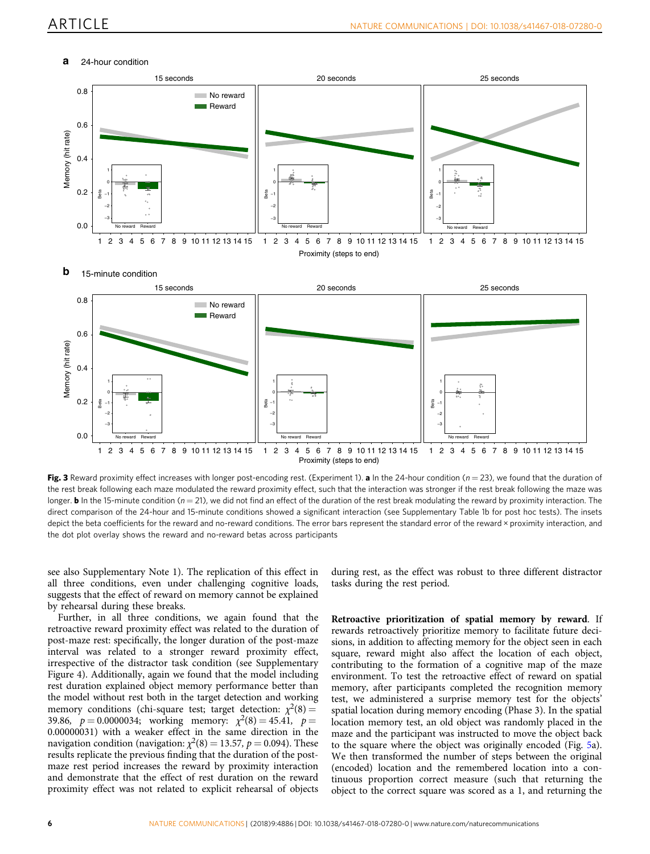### <span id="page-5-0"></span>24-hour condition **a**



### 15-minute condition **b**



Fig. 3 Reward proximity effect increases with longer post-encoding rest. (Experiment 1). a In the 24-hour condition  $(n = 23)$ , we found that the duration of the rest break following each maze modulated the reward proximity effect, such that the interaction was stronger if the rest break following the maze was longer. **b** In the 15-minute condition ( $n = 21$ ), we did not find an effect of the duration of the rest break modulating the reward by proximity interaction. The direct comparison of the 24-hour and 15-minute conditions showed a significant interaction (see Supplementary Table 1b for post hoc tests). The insets depict the beta coefficients for the reward and no-reward conditions. The error bars represent the standard error of the reward × proximity interaction, and the dot plot overlay shows the reward and no-reward betas across participants

see also Supplementary Note 1). The replication of this effect in all three conditions, even under challenging cognitive loads, suggests that the effect of reward on memory cannot be explained by rehearsal during these breaks.

Further, in all three conditions, we again found that the retroactive reward proximity effect was related to the duration of post-maze rest: specifically, the longer duration of the post-maze interval was related to a stronger reward proximity effect, irrespective of the distractor task condition (see Supplementary Figure 4). Additionally, again we found that the model including rest duration explained object memory performance better than the model without rest both in the target detection and working memory conditions (chi-square test; target detection:  $\chi^2(8)$  = 39.86,  $p = 0.0000034$ ; working memory:  $\chi^2(8) = 45.41$ ,  $p =$ 0.00000031) with a weaker effect in the same direction in the navigation condition (navigation:  $\chi^2(8) = 13.57$ ,  $p = 0.094$ ). These results replicate the previous finding that the duration of the postmaze rest period increases the reward by proximity interaction and demonstrate that the effect of rest duration on the reward proximity effect was not related to explicit rehearsal of objects

during rest, as the effect was robust to three different distractor tasks during the rest period.

Retroactive prioritization of spatial memory by reward. If rewards retroactively prioritize memory to facilitate future decisions, in addition to affecting memory for the object seen in each square, reward might also affect the location of each object, contributing to the formation of a cognitive map of the maze environment. To test the retroactive effect of reward on spatial memory, after participants completed the recognition memory test, we administered a surprise memory test for the objects' spatial location during memory encoding (Phase 3). In the spatial location memory test, an old object was randomly placed in the maze and the participant was instructed to move the object back to the square where the object was originally encoded (Fig. [5](#page-7-0)a). We then transformed the number of steps between the original (encoded) location and the remembered location into a continuous proportion correct measure (such that returning the object to the correct square was scored as a 1, and returning the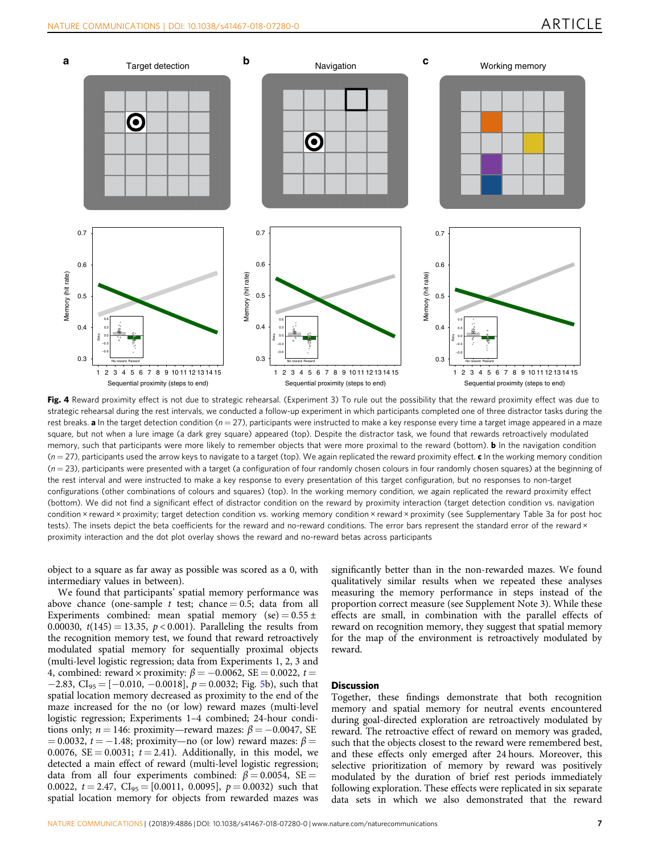<span id="page-6-0"></span>

Fig. 4 Reward proximity effect is not due to strategic rehearsal. (Experiment 3) To rule out the possibility that the reward proximity effect was due to strategic rehearsal during the rest intervals, we conducted a follow-up experiment in which participants completed one of three distractor tasks during the rest breaks. **a** In the target detection condition ( $n = 27$ ), participants were instructed to make a key response every time a target image appeared in a maze square, but not when a lure image (a dark grey square) appeared (top). Despite the distractor task, we found that rewards retroactively modulated memory, such that participants were more likely to remember objects that were more proximal to the reward (bottom). **b** In the navigation condition  $(n = 27)$ , participants used the arrow keys to navigate to a target (top). We again replicated the reward proximity effect. c In the working memory condition  $(n = 23)$ , participants were presented with a target (a configuration of four randomly chosen colours in four randomly chosen squares) at the beginning of the rest interval and were instructed to make a key response to every presentation of this target configuration, but no responses to non-target configurations (other combinations of colours and squares) (top). In the working memory condition, we again replicated the reward proximity effect (bottom). We did not find a significant effect of distractor condition on the reward by proximity interaction (target detection condition vs. navigation condition × reward × proximity; target detection condition vs. working memory condition × reward × proximity (see Supplementary Table 3a for post hoc tests). The insets depict the beta coefficients for the reward and no-reward conditions. The error bars represent the standard error of the reward × proximity interaction and the dot plot overlay shows the reward and no-reward betas across participants

object to a square as far away as possible was scored as a 0, with intermediary values in between).

We found that participants' spatial memory performance was above chance (one-sample  $t$  test; chance = 0.5; data from all Experiments combined: mean spatial memory (se) =  $0.55 \pm$ 0.00030,  $t(145) = 13.35$ ,  $p < 0.001$ ). Paralleling the results from the recognition memory test, we found that reward retroactively modulated spatial memory for sequentially proximal objects (multi-level logistic regression; data from Experiments 1, 2, 3 and 4, combined: reward × proximity:  $\beta = -0.0062$ , SE = 0.0022, t =  $-2.83$ , CI<sub>95</sub> = [ $-0.010$ ,  $-0.0018$ ],  $p = 0.0032$ ; Fig. [5b](#page-7-0)), such that spatial location memory decreased as proximity to the end of the maze increased for the no (or low) reward mazes (multi-level logistic regression; Experiments 1–4 combined; 24-hour conditions only;  $n = 146$ : proximity—reward mazes:  $\beta = -0.0047$ , SE = 0.0032,  $t = -1.48$ ; proximity—no (or low) reward mazes:  $\beta$  = 0.0076,  $SE = 0.0031$ ;  $t = 2.41$ ). Additionally, in this model, we detected a main effect of reward (multi-level logistic regression; data from all four experiments combined:  $\beta = 0.0054$ , SE = 0.0022,  $t = 2.47$ ,  $CI_{95} = [0.0011, 0.0095]$ ,  $p = 0.0032$ ) such that spatial location memory for objects from rewarded mazes was significantly better than in the non-rewarded mazes. We found qualitatively similar results when we repeated these analyses measuring the memory performance in steps instead of the proportion correct measure (see Supplement Note 3). While these effects are small, in combination with the parallel effects of reward on recognition memory, they suggest that spatial memory for the map of the environment is retroactively modulated by reward.

### **Discussion**

Together, these findings demonstrate that both recognition memory and spatial memory for neutral events encountered during goal-directed exploration are retroactively modulated by reward. The retroactive effect of reward on memory was graded, such that the objects closest to the reward were remembered best, and these effects only emerged after 24 hours. Moreover, this selective prioritization of memory by reward was positively modulated by the duration of brief rest periods immediately following exploration. These effects were replicated in six separate data sets in which we also demonstrated that the reward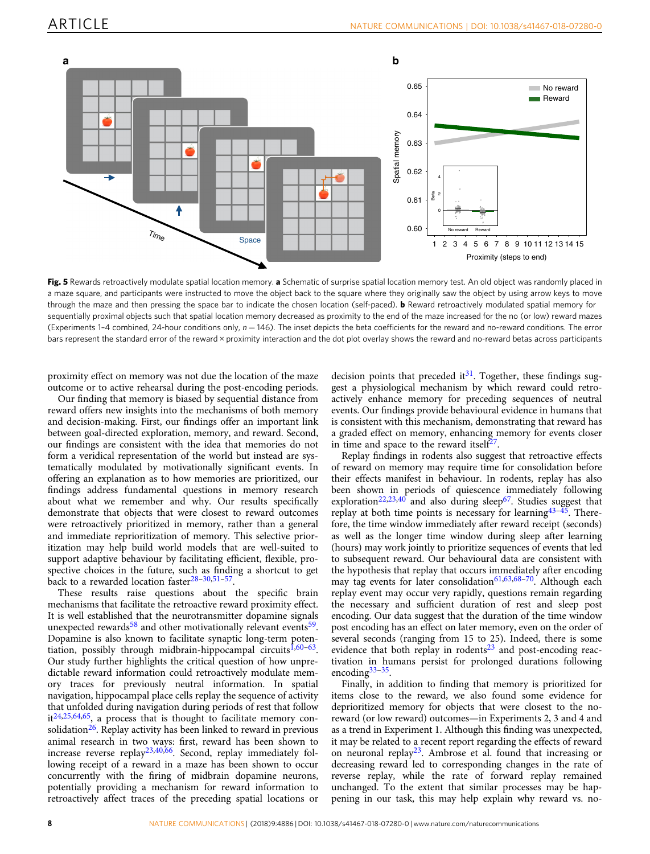<span id="page-7-0"></span>

Fig. 5 Rewards retroactively modulate spatial location memory. a Schematic of surprise spatial location memory test. An old object was randomly placed in a maze square, and participants were instructed to move the object back to the square where they originally saw the object by using arrow keys to move through the maze and then pressing the space bar to indicate the chosen location (self-paced). **b** Reward retroactively modulated spatial memory for sequentially proximal objects such that spatial location memory decreased as proximity to the end of the maze increased for the no (or low) reward mazes (Experiments 1-4 combined, 24-hour conditions only,  $n = 146$ ). The inset depicts the beta coefficients for the reward and no-reward conditions. The error bars represent the standard error of the reward × proximity interaction and the dot plot overlay shows the reward and no-reward betas across participants

proximity effect on memory was not due the location of the maze outcome or to active rehearsal during the post-encoding periods.

Our finding that memory is biased by sequential distance from reward offers new insights into the mechanisms of both memory and decision-making. First, our findings offer an important link between goal-directed exploration, memory, and reward. Second, our findings are consistent with the idea that memories do not form a veridical representation of the world but instead are systematically modulated by motivationally significant events. In offering an explanation as to how memories are prioritized, our findings address fundamental questions in memory research about what we remember and why. Our results specifically demonstrate that objects that were closest to reward outcomes were retroactively prioritized in memory, rather than a general and immediate reprioritization of memory. This selective prioritization may help build world models that are well-suited to support adaptive behaviour by facilitating efficient, flexible, prospective choices in the future, such as finding a shortcut to get back to a rewarded location faster<sup>[28](#page-10-0)-[30](#page-10-0),[51](#page-10-0)-[57](#page-10-0)</sup>.

These results raise questions about the specific brain mechanisms that facilitate the retroactive reward proximity effect. It is well established that the neurotransmitter dopamine signals unexpected rewards $58$  and other motivationally relevant events $59$ . Dopamine is also known to facilitate synaptic long-term potentiation, possibly through midbrain-hippocampal circuits $1,60-63$  $1,60-63$  $1,60-63$ . Our study further highlights the critical question of how unpredictable reward information could retroactively modulate memory traces for previously neutral information. In spatial navigation, hippocampal place cells replay the sequence of activity that unfolded during navigation during periods of rest that follow  $it^{24,25,64,65}$  $it^{24,25,64,65}$  $it^{24,25,64,65}$  $it^{24,25,64,65}$  $it^{24,25,64,65}$  $it^{24,25,64,65}$  $it^{24,25,64,65}$ , a process that is thought to facilitate memory consolidation $26$ . Replay activity has been linked to reward in previous animal research in two ways: first, reward has been shown to increase reverse replay<sup>23,40[,66](#page-11-0)</sup>. Second, replay immediately following receipt of a reward in a maze has been shown to occur concurrently with the firing of midbrain dopamine neurons, potentially providing a mechanism for reward information to retroactively affect traces of the preceding spatial locations or

decision points that preceded it $31$ . Together, these findings suggest a physiological mechanism by which reward could retroactively enhance memory for preceding sequences of neutral events. Our findings provide behavioural evidence in humans that is consistent with this mechanism, demonstrating that reward has a graded effect on memory, enhancing memory for events closer in time and space to the reward itself $2^7$ .

Replay findings in rodents also suggest that retroactive effects of reward on memory may require time for consolidation before their effects manifest in behaviour. In rodents, replay has also been shown in periods of quiescence immediately following exploration<sup>[22](#page-10-0),[23](#page-10-0),[40](#page-10-0)</sup> and also during sleep<sup>[67](#page-11-0)</sup>. Studies suggest that replay at both time points is necessary for learning  $43-\frac{15}{15}$  $43-\frac{15}{15}$ . Therefore, the time window immediately after reward receipt (seconds) as well as the longer time window during sleep after learning (hours) may work jointly to prioritize sequences of events that led to subsequent reward. Our behavioural data are consistent with the hypothesis that replay that occurs immediately after encoding may tag events for later consolidation<sup>[61](#page-11-0),[63](#page-11-0),[68](#page-11-0)-[70](#page-11-0)</sup>. Although each replay event may occur very rapidly, questions remain regarding the necessary and sufficient duration of rest and sleep post encoding. Our data suggest that the duration of the time window post encoding has an effect on later memory, even on the order of several seconds (ranging from 15 to 25). Indeed, there is some evidence that both replay in rodents $23$  and post-encoding reactivation in humans persist for prolonged durations following encoding[33](#page-10-0)–[35.](#page-10-0)

Finally, in addition to finding that memory is prioritized for items close to the reward, we also found some evidence for deprioritized memory for objects that were closest to the noreward (or low reward) outcomes—in Experiments 2, 3 and 4 and as a trend in Experiment 1. Although this finding was unexpected, it may be related to a recent report regarding the effects of reward on neuronal replay<sup>[23](#page-10-0)</sup>. Ambrose et al. found that increasing or decreasing reward led to corresponding changes in the rate of reverse replay, while the rate of forward replay remained unchanged. To the extent that similar processes may be happening in our task, this may help explain why reward vs. no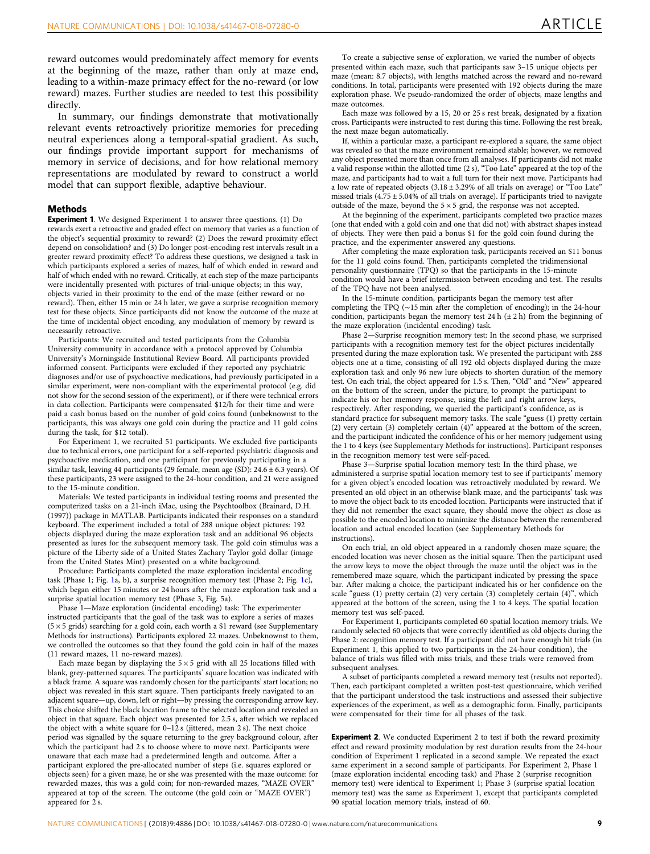reward outcomes would predominately affect memory for events at the beginning of the maze, rather than only at maze end, leading to a within-maze primacy effect for the no-reward (or low reward) mazes. Further studies are needed to test this possibility directly.

In summary, our findings demonstrate that motivationally relevant events retroactively prioritize memories for preceding neutral experiences along a temporal-spatial gradient. As such, our findings provide important support for mechanisms of memory in service of decisions, and for how relational memory representations are modulated by reward to construct a world model that can support flexible, adaptive behaviour.

### Methods

Experiment 1. We designed Experiment 1 to answer three questions. (1) Do rewards exert a retroactive and graded effect on memory that varies as a function of the object's sequential proximity to reward? (2) Does the reward proximity effect depend on consolidation? and (3) Do longer post-encoding rest intervals result in a greater reward proximity effect? To address these questions, we designed a task in which participants explored a series of mazes, half of which ended in reward and half of which ended with no reward. Critically, at each step of the maze participants were incidentally presented with pictures of trial-unique objects; in this way, objects varied in their proximity to the end of the maze (either reward or no reward). Then, either 15 min or 24 h later, we gave a surprise recognition memory test for these objects. Since participants did not know the outcome of the maze at the time of incidental object encoding, any modulation of memory by reward is necessarily retroactive.

Participants: We recruited and tested participants from the Columbia University community in accordance with a protocol approved by Columbia University's Morningside Institutional Review Board. All participants provided informed consent. Participants were excluded if they reported any psychiatric diagnoses and/or use of psychoactive medications, had previously participated in a similar experiment, were non-compliant with the experimental protocol (e.g. did not show for the second session of the experiment), or if there were technical errors in data collection. Participants were compensated \$12/h for their time and were paid a cash bonus based on the number of gold coins found (unbeknownst to the participants, this was always one gold coin during the practice and 11 gold coins during the task, for \$12 total).

For Experiment 1, we recruited 51 participants. We excluded five participants due to technical errors, one participant for a self-reported psychiatric diagnosis and psychoactive medication, and one participant for previously participating in a similar task, leaving 44 participants (29 female, mean age (SD):  $24.6 \pm 6.3$  years). Of these participants, 23 were assigned to the 24-hour condition, and 21 were assigned to the 15-minute condition.

Materials: We tested participants in individual testing rooms and presented the computerized tasks on a 21-inch iMac, using the Psychtoolbox (Brainard, D.H. (1997)) package in MATLAB. Participants indicated their responses on a standard keyboard. The experiment included a total of 288 unique object pictures: 192 objects displayed during the maze exploration task and an additional 96 objects presented as lures for the subsequent memory task. The gold coin stimulus was a picture of the Liberty side of a United States Zachary Taylor gold dollar (image from the United States Mint) presented on a white background.

Procedure: Participants completed the maze exploration incidental encoding task (Phase 1; Fig. [1](#page-2-0)a, b), a surprise recognition memory test (Phase 2; Fig. [1](#page-2-0)c), which began either 15 minutes or 24 hours after the maze exploration task and a surprise spatial location memory test (Phase 3, Fig. 5a).

Phase 1—Maze exploration (incidental encoding) task: The experimenter instructed participants that the goal of the task was to explore a series of mazes  $(5 \times 5 \text{ grids})$  searching for a gold coin, each worth a \$1 reward (see Supplementary Methods for instructions). Participants explored 22 mazes. Unbeknownst to them, we controlled the outcomes so that they found the gold coin in half of the mazes (11 reward mazes, 11 no-reward mazes).

Each maze began by displaying the  $5 \times 5$  grid with all 25 locations filled with blank, grey-patterned squares. The participants' square location was indicated with a black frame. A square was randomly chosen for the participants' start location; no object was revealed in this start square. Then participants freely navigated to an adjacent square—up, down, left or right—by pressing the corresponding arrow key. This choice shifted the black location frame to the selected location and revealed an object in that square. Each object was presented for 2.5 s, after which we replaced the object with a white square for 0–12 s (jittered, mean 2 s). The next choice period was signalled by the square returning to the grey background colour, after which the participant had 2 s to choose where to move next. Participants were unaware that each maze had a predetermined length and outcome. After a participant explored the pre-allocated number of steps (i.e. squares explored or objects seen) for a given maze, he or she was presented with the maze outcome: for rewarded mazes, this was a gold coin; for non-rewarded mazes, "MAZE OVER" appeared at top of the screen. The outcome (the gold coin or "MAZE OVER") appeared for 2 s.

To create a subjective sense of exploration, we varied the number of objects presented within each maze, such that participants saw 3–15 unique objects per maze (mean: 8.7 objects), with lengths matched across the reward and no-reward conditions. In total, participants were presented with 192 objects during the maze exploration phase. We pseudo-randomized the order of objects, maze lengths and maze outcomes.

Each maze was followed by a 15, 20 or 25 s rest break, designated by a fixation cross. Participants were instructed to rest during this time. Following the rest break, the next maze began automatically.

If, within a particular maze, a participant re-explored a square, the same object was revealed so that the maze environment remained stable; however, we removed any object presented more than once from all analyses. If participants did not make a valid response within the allotted time (2 s), "Too Late" appeared at the top of the maze, and participants had to wait a full turn for their next move. Participants had a low rate of repeated objects  $(3.18 \pm 3.29\%$  of all trials on average) or "Too Late" missed trials  $(4.75 \pm 5.04\%)$  of all trials on average). If participants tried to navigate outside of the maze, beyond the  $5 \times 5$  grid, the response was not accepted.

At the beginning of the experiment, participants completed two practice mazes (one that ended with a gold coin and one that did not) with abstract shapes instead of objects. They were then paid a bonus \$1 for the gold coin found during the practice, and the experimenter answered any questions.

After completing the maze exploration task, participants received an \$11 bonus for the 11 gold coins found. Then, participants completed the tridimensional personality questionnaire (TPQ) so that the participants in the 15-minute condition would have a brief intermission between encoding and test. The results of the TPQ have not been analysed.

In the 15-minute condition, participants began the memory test after completing the TPQ (∼15 min after the completion of encoding); in the 24-hour condition, participants began the memory test 24 h  $(\pm 2 h)$  from the beginning of the maze exploration (incidental encoding) task.

Phase 2—Surprise recognition memory test: In the second phase, we surprised participants with a recognition memory test for the object pictures incidentally presented during the maze exploration task. We presented the participant with 288 objects one at a time, consisting of all 192 old objects displayed during the maze exploration task and only 96 new lure objects to shorten duration of the memory test. On each trial, the object appeared for 1.5 s. Then, "Old" and "New" appeared on the bottom of the screen, under the picture, to prompt the participant to indicate his or her memory response, using the left and right arrow keys, respectively. After responding, we queried the participant's confidence, as is standard practice for subsequent memory tasks. The scale "guess (1) pretty certain (2) very certain (3) completely certain (4)" appeared at the bottom of the screen, and the participant indicated the confidence of his or her memory judgement using the 1 to 4 keys (see Supplementary Methods for instructions). Participant responses in the recognition memory test were self-paced.

Phase 3—Surprise spatial location memory test: In the third phase, we administered a surprise spatial location memory test to see if participants' memory for a given object's encoded location was retroactively modulated by reward. We presented an old object in an otherwise blank maze, and the participants' task was to move the object back to its encoded location. Participants were instructed that if they did not remember the exact square, they should move the object as close as possible to the encoded location to minimize the distance between the remembered location and actual encoded location (see Supplementary Methods for instructions).

On each trial, an old object appeared in a randomly chosen maze square; the encoded location was never chosen as the initial square. Then the participant used the arrow keys to move the object through the maze until the object was in the remembered maze square, which the participant indicated by pressing the space bar. After making a choice, the participant indicated his or her confidence on the scale "guess (1) pretty certain (2) very certain (3) completely certain (4)", which appeared at the bottom of the screen, using the 1 to 4 keys. The spatial location memory test was self-paced.

For Experiment 1, participants completed 60 spatial location memory trials. We randomly selected 60 objects that were correctly identified as old objects during the Phase 2: recognition memory test. If a participant did not have enough hit trials (in Experiment 1, this applied to two participants in the 24-hour condition), the balance of trials was filled with miss trials, and these trials were removed from subsequent analyses.

A subset of participants completed a reward memory test (results not reported). Then, each participant completed a written post-test questionnaire, which verified that the participant understood the task instructions and assessed their subjective experiences of the experiment, as well as a demographic form. Finally, participants were compensated for their time for all phases of the task.

Experiment 2. We conducted Experiment 2 to test if both the reward proximity effect and reward proximity modulation by rest duration results from the 24-hour condition of Experiment 1 replicated in a second sample. We repeated the exact same experiment in a second sample of participants. For Experiment 2, Phase 1 (maze exploration incidental encoding task) and Phase 2 (surprise recognition memory test) were identical to Experiment 1; Phase 3 (surprise spatial location memory test) was the same as Experiment 1, except that participants completed 90 spatial location memory trials, instead of 60.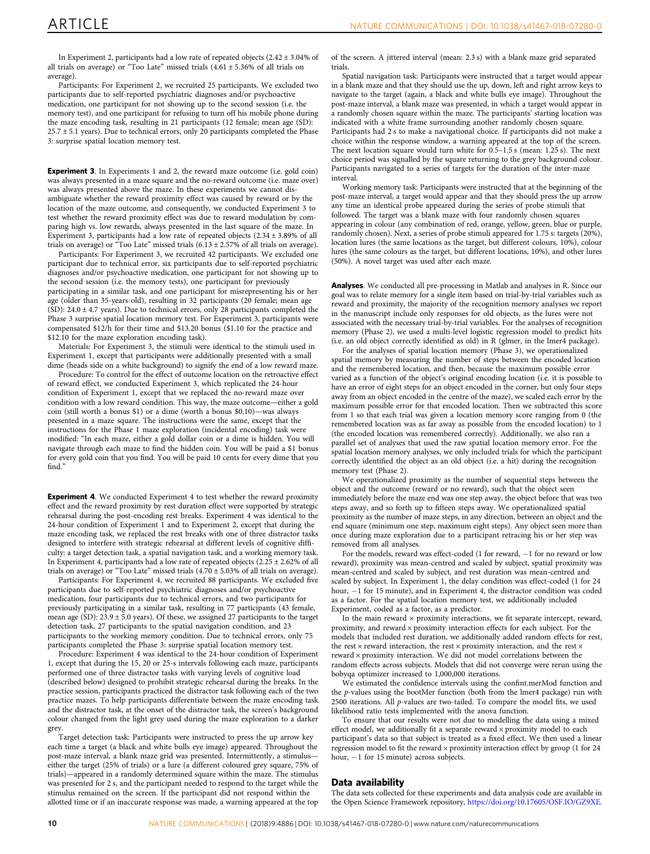In Experiment 2, participants had a low rate of repeated objects (2.42  $\pm$  3.04% of all trials on average) or "Too Late" missed trials  $(4.61 \pm 5.36\%$  of all trials on average).

Participants: For Experiment 2, we recruited 25 participants. We excluded two participants due to self-reported psychiatric diagnoses and/or psychoactive medication, one participant for not showing up to the second session (i.e. the memory test), and one participant for refusing to turn off his mobile phone during the maze encoding task, resulting in 21 participants (12 female; mean age (SD):  $25.7 \pm 5.1$  years). Due to technical errors, only 20 participants completed the Phase 3: surprise spatial location memory test.

Experiment 3. In Experiments 1 and 2, the reward maze outcome (i.e. gold coin) was always presented in a maze square and the no-reward outcome (i.e. maze over) was always presented above the maze. In these experiments we cannot disambiguate whether the reward proximity effect was caused by reward or by the location of the maze outcome, and consequently, we conducted Experiment 3 to test whether the reward proximity effect was due to reward modulation by comparing high vs. low rewards, always presented in the last square of the maze. In Experiment 3, participants had a low rate of repeated objects  $(2.34 \pm 3.89\%$  of all trials on average) or "Too Late" missed trials  $(6.13 \pm 2.57\%$  of all trials on average).

Participants: For Experiment 3, we recruited 42 participants. We excluded one participant due to technical error, six participants due to self-reported psychiatric diagnoses and/or psychoactive medication, one participant for not showing up to the second session (i.e. the memory tests), one participant for previously participating in a similar task, and one participant for misrepresenting his or her age (older than 35-years-old), resulting in 32 participants (20 female; mean age (SD):  $24.0 \pm 4.7$  years). Due to technical errors, only 28 participants completed the Phase 3 surprise spatial location memory test. For Experiment 3, participants were compensated \$12/h for their time and \$13.20 bonus (\$1.10 for the practice and \$12.10 for the maze exploration encoding task).

Materials: For Experiment 3, the stimuli were identical to the stimuli used in Experiment 1, except that participants were additionally presented with a small dime (heads side on a white background) to signify the end of a low reward maze.

Procedure: To control for the effect of outcome location on the retroactive effect of reward effect, we conducted Experiment 3, which replicated the 24-hour condition of Experiment 1, except that we replaced the no-reward maze over condition with a low reward condition. This way, the maze outcome—either a gold coin (still worth a bonus \$1) or a dime (worth a bonus \$0.10)—was always presented in a maze square. The instructions were the same, except that the instructions for the Phase 1 maze exploration (incidental encoding) task were modified: "In each maze, either a gold dollar coin or a dime is hidden. You will navigate through each maze to find the hidden coin. You will be paid a \$1 bonus for every gold coin that you find. You will be paid 10 cents for every dime that you find."

Experiment 4. We conducted Experiment 4 to test whether the reward proximity effect and the reward proximity by rest duration effect were supported by strategic rehearsal during the post-encoding rest breaks. Experiment 4 was identical to the 24-hour condition of Experiment 1 and to Experiment 2, except that during the maze encoding task, we replaced the rest breaks with one of three distractor tasks designed to interfere with strategic rehearsal at different levels of cognitive difficulty: a target detection task, a spatial navigation task, and a working memory task. In Experiment 4, participants had a low rate of repeated objects  $(2.25 \pm 2.62\%$  of all trials on average) or "Too Late" missed trials  $(4.70 \pm 5.03\%$  of all trials on average).

Participants: For Experiment 4, we recruited 88 participants. We excluded five participants due to self-reported psychiatric diagnoses and/or psychoactive medication, four participants due to technical errors, and two participants for previously participating in a similar task, resulting in 77 participants (43 female, mean age (SD):  $23.9 \pm 5.0$  years). Of these, we assigned 27 participants to the target detection task, 27 participants to the spatial navigation condition, and 23 participants to the working memory condition. Due to technical errors, only 75 participants completed the Phase 3: surprise spatial location memory test.

Procedure: Experiment 4 was identical to the 24-hour condition of Experiment 1, except that during the 15, 20 or 25-s intervals following each maze, participants performed one of three distractor tasks with varying levels of cognitive load (described below) designed to prohibit strategic rehearsal during the breaks. In the practice session, participants practiced the distractor task following each of the two practice mazes. To help participants differentiate between the maze encoding task and the distractor task, at the onset of the distractor task, the screen's background colour changed from the light grey used during the maze exploration to a darker grey.

Target detection task: Participants were instructed to press the up arrow key each time a target (a black and white bulls eye image) appeared. Throughout the post-maze interval, a blank maze grid was presented. Intermittently, a stimulus either the target (25% of trials) or a lure (a different coloured grey square, 75% of trials)—appeared in a randomly determined square within the maze. The stimulus was presented for 2 s, and the participant needed to respond to the target while the stimulus remained on the screen. If the participant did not respond within the allotted time or if an inaccurate response was made, a warning appeared at the top

of the screen. A jittered interval (mean: 2.3 s) with a blank maze grid separated trials.

Spatial navigation task: Participants were instructed that a target would appear in a blank maze and that they should use the up, down, left and right arrow keys to navigate to the target (again, a black and white bulls eye image). Throughout the post-maze interval, a blank maze was presented, in which a target would appear in a randomly chosen square within the maze. The participants' starting location was indicated with a white frame surrounding another randomly chosen square. Participants had 2 s to make a navigational choice. If participants did not make a choice within the response window, a warning appeared at the top of the screen. The next location square would turn white for 0.5–1.5 s (mean: 1.25 s). The next choice period was signalled by the square returning to the grey background colour. Participants navigated to a series of targets for the duration of the inter-maze interval.

Working memory task: Participants were instructed that at the beginning of the post-maze interval, a target would appear and that they should press the up arrow any time an identical probe appeared during the series of probe stimuli that followed. The target was a blank maze with four randomly chosen squares appearing in colour (any combination of red, orange, yellow, green, blue or purple, randomly chosen). Next, a series of probe stimuli appeared for 1.75 s: targets (20%), location lures (the same locations as the target, but different colours, 10%), colour lures (the same colours as the target, but different locations, 10%), and other lures (50%). A novel target was used after each maze.

Analyses. We conducted all pre-processing in Matlab and analyses in R. Since our goal was to relate memory for a single item based on trial-by-trial variables such as reward and proximity, the majority of the recognition memory analyses we report in the manuscript include only responses for old objects, as the lures were not associated with the necessary trial-by-trial variables. For the analyses of recognition memory (Phase 2), we used a multi-level logistic regression model to predict hits (i.e. an old object correctly identified as old) in R (glmer, in the lmer4 package).

For the analyses of spatial location memory (Phase 3), we operationalized spatial memory by measuring the number of steps between the encoded location and the remembered location, and then, because the maximum possible error varied as a function of the object's original encoding location (i.e. it is possible to have an error of eight steps for an object encoded in the corner, but only four steps away from an object encoded in the centre of the maze), we scaled each error by the maximum possible error for that encoded location. Then we subtracted this score from 1 so that each trial was given a location memory score ranging from 0 (the remembered location was as far away as possible from the encoded location) to 1 (the encoded location was remembered correctly). Additionally, we also ran a parallel set of analyses that used the raw spatial location memory error. For the spatial location memory analyses, we only included trials for which the participant correctly identified the object as an old object (i.e. a hit) during the recognition memory test (Phase 2).

We operationalized proximity as the number of sequential steps between the object and the outcome (reward or no reward), such that the object seen immediately before the maze end was one step away, the object before that was two steps away, and so forth up to fifteen steps away. We operationalized spatial proximity as the number of maze steps, in any direction, between an object and the end square (minimum one step, maximum eight steps). Any object seen more than once during maze exploration due to a participant retracing his or her step was removed from all analyses.

For the models, reward was effect-coded (1 for reward, −1 for no reward or low reward), proximity was mean-centred and scaled by subject, spatial proximity was mean-centred and scaled by subject, and rest duration was mean-centred and scaled by subject. In Experiment 1, the delay condition was effect-coded (1 for 24 hour, −1 for 15 minute), and in Experiment 4, the distractor condition was coded as a factor. For the spatial location memory test, we additionally included Experiment, coded as a factor, as a predictor.

In the main reward  $\times$  proximity interactions, we fit separate intercept, reward, proximity, and reward × proximity interaction effects for each subject. For the models that included rest duration, we additionally added random effects for rest, the rest  $\times$  reward interaction, the rest  $\times$  proximity interaction, and the rest  $\times$ reward  $\times$  proximity interaction. We did not model correlations between the random effects across subjects. Models that did not converge were rerun using the bobyqa optimizer increased to 1,000,000 iterations.

We estimated the confidence intervals using the confint.merMod function and the p-values using the bootMer function (both from the lmer4 package) run with 2500 iterations. All p-values are two-tailed. To compare the model fits, we used likelihood ratio tests implemented with the anova function.

To ensure that our results were not due to modelling the data using a mixed effect model, we additionally fit a separate reward  $\times$  proximity model to each participant's data so that subject is treated as a fixed effect. We then used a linear regression model to fit the reward  $\times$  proximity interaction effect by group (1 for 24 hour, −1 for 15 minute) across subjects.

### Data availability

The data sets collected for these experiments and data analysis code are available in the Open Science Framework repository, <https://doi.org/10.17605/OSF.IO/GZ9XE>.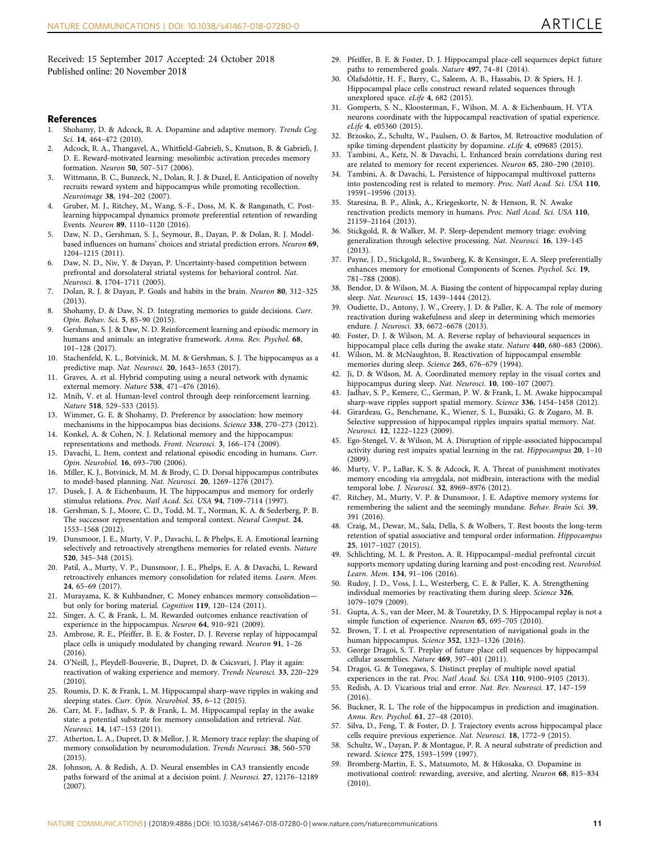<span id="page-10-0"></span>Received: 15 September 2017 Accepted: 24 October 2018 Published online: 20 November 2018

### **References**

- 1. Shohamy, D. & Adcock, R. A. Dopamine and adaptive memory. Trends Cog. Sci. 14, 464-472 (2010).
- 2. Adcock, R. A., Thangavel, A., Whitfield-Gabrieli, S., Knutson, B. & Gabrieli, J. D. E. Reward-motivated learning: mesolimbic activation precedes memory formation. Neuron 50, 507–517 (2006).
- 3. Wittmann, B. C., Bunzeck, N., Dolan, R. J. & Duzel, E. Anticipation of novelty recruits reward system and hippocampus while promoting recollection. Neuroimage 38, 194–202 (2007).
- 4. Gruber, M. J., Ritchey, M., Wang, S.-F., Doss, M. K. & Ranganath, C. Postlearning hippocampal dynamics promote preferential retention of rewarding Events. Neuron 89, 1110–1120 (2016).
- 5. Daw, N. D., Gershman, S. J., Seymour, B., Dayan, P. & Dolan, R. J. Modelbased influences on humans' choices and striatal prediction errors. Neuron 69, 1204–1215 (2011).
- 6. Daw, N. D., Niv, Y. & Dayan, P. Uncertainty-based competition between prefrontal and dorsolateral striatal systems for behavioral control. Nat. Neurosci. 8, 1704–1711 (2005).
- 7. Dolan, R. J. & Dayan, P. Goals and habits in the brain. Neuron 80, 312–325  $(2013)$
- 8. Shohamy, D. & Daw, N. D. Integrating memories to guide decisions. Curr. Opin. Behav. Sci. 5, 85–90 (2015).
- 9. Gershman, S. J. & Daw, N. D. Reinforcement learning and episodic memory in humans and animals: an integrative framework. Annu. Rev. Psychol. 68, 101–128 (2017).
- Stachenfeld, K. L., Botvinick, M. M. & Gershman, S. J. The hippocampus as a predictive map. Nat. Neurosci. 20, 1643–1653 (2017).
- 11. Graves, A. et al. Hybrid computing using a neural network with dynamic external memory. Nature 538, 471–476 (2016).
- 12. Mnih, V. et al. Human-level control through deep reinforcement learning. Nature 518, 529–533 (2015).
- Wimmer, G. E. & Shohamy, D. Preference by association: how memory mechanisms in the hippocampus bias decisions. Science 338, 270–273 (2012).
- 14. Konkel, A. & Cohen, N. J. Relational memory and the hippocampus: representations and methods. Front. Neurosci. 3, 166–174 (2009).
- 15. Davachi, L. Item, context and relational episodic encoding in humans. Curr. Opin. Neurobiol. 16, 693–700 (2006).
- 16. Miller, K. J., Botvinick, M. M. & Brody, C. D. Dorsal hippocampus contributes to model-based planning. Nat. Neurosci. 20, 1269–1276 (2017).
- 17. Dusek, J. A. & Eichenbaum, H. The hippocampus and memory for orderly stimulus relations. Proc. Natl Acad. Sci. USA 94, 7109–7114 (1997).
- 18. Gershman, S. J., Moore, C. D., Todd, M. T., Norman, K. A. & Sederberg, P. B. The successor representation and temporal context. Neural Comput. 24, 1553–1568 (2012).
- 19. Dunsmoor, J. E., Murty, V. P., Davachi, L. & Phelps, E. A. Emotional learning selectively and retroactively strengthens memories for related events. Nature 520, 345–348 (2015).
- 20. Patil, A., Murty, V. P., Dunsmoor, J. E., Phelps, E. A. & Davachi, L. Reward retroactively enhances memory consolidation for related items. Learn. Mem. 24, 65–69 (2017).
- 21. Murayama, K. & Kuhbandner, C. Money enhances memory consolidation but only for boring material. Cognition 119, 120–124 (2011).
- 22. Singer, A. C. & Frank, L. M. Rewarded outcomes enhance reactivation of experience in the hippocampus. Neuron 64, 910–921 (2009).
- 23. Ambrose, R. E., Pfeiffer, B. E. & Foster, D. J. Reverse replay of hippocampal place cells is uniquely modulated by changing reward. Neuron 91, 1–26  $(2016)$
- 24. O'Neill, J., Pleydell-Bouverie, B., Dupret, D. & Csicsvari, J. Play it again: reactivation of waking experience and memory. Trends Neurosci. 33, 220–229 (2010).
- 25. Roumis, D. K. & Frank, L. M. Hippocampal sharp-wave ripples in waking and sleeping states. Curr. Opin. Neurobiol. 35, 6-12 (2015).
- 26. Carr, M. F., Jadhav, S. P. & Frank, L. M. Hippocampal replay in the awake state: a potential substrate for memory consolidation and retrieval. Nat. Neurosci. 14, 147–153 (2011).
- 27. Atherton, L. A., Dupret, D. & Mellor, J. R. Memory trace replay: the shaping of memory consolidation by neuromodulation. Trends Neurosci. 38, 560–570 (2015).
- 28. Johnson, A. & Redish, A. D. Neural ensembles in CA3 transiently encode paths forward of the animal at a decision point. J. Neurosci. 27, 12176–12189 (2007).
- 29. Pfeiffer, B. E. & Foster, D. J. Hippocampal place-cell sequences depict future paths to remembered goals. Nature 497, 74–81 (2014).
- 30. Ólafsdóttir, H. F., Barry, C., Saleem, A. B., Hassabis, D. & Spiers, H. J. Hippocampal place cells construct reward related sequences through unexplored space. eLife 4, 682 (2015).
- 31. Gomperts, S. N., Kloosterman, F., Wilson, M. A. & Eichenbaum, H. VTA neurons coordinate with the hippocampal reactivation of spatial experience. eLife 4, e05360 (2015).
- 32. Brzosko, Z., Schultz, W., Paulsen, O. & Bartos, M. Retroactive modulation of spike timing-dependent plasticity by dopamine. eLife 4, e09685 (2015).
- 33. Tambini, A., Ketz, N. & Davachi, L. Enhanced brain correlations during rest are related to memory for recent experiences. Neuron 65, 280–290 (2010).
- 34. Tambini, A. & Davachi, L. Persistence of hippocampal multivoxel patterns into postencoding rest is related to memory. Proc. Natl Acad. Sci. USA 110, 19591–19596 (2013).
- 35. Staresina, B. P., Alink, A., Kriegeskorte, N. & Henson, R. N. Awake reactivation predicts memory in humans. Proc. Natl Acad. Sci. USA 110, 21159–21164 (2013).
- 36. Stickgold, R. & Walker, M. P. Sleep-dependent memory triage: evolving generalization through selective processing. Nat. Neurosci. 16, 139–145  $(2013)$ .
- 37. Payne, J. D., Stickgold, R., Swanberg, K. & Kensinger, E. A. Sleep preferentially enhances memory for emotional Components of Scenes. Psychol. Sci. 19, 781–788 (2008).
- 38. Bendor, D. & Wilson, M. A. Biasing the content of hippocampal replay during sleep. Nat. Neurosci. 15, 1439–1444 (2012).
- 39. Oudiette, D., Antony, J. W., Creery, J. D. & Paller, K. A. The role of memory reactivation during wakefulness and sleep in determining which memories endure. J. Neurosci. 33, 6672–6678 (2013).
- 40. Foster, D. J. & Wilson, M. A. Reverse replay of behavioural sequences in hippocampal place cells during the awake state. Nature 440, 680–683 (2006).
- 41. Wilson, M. & McNaughton, B. Reactivation of hippocampal ensemble memories during sleep. Science 265, 676–679 (1994).
- 42. Ji, D. & Wilson, M. A. Coordinated memory replay in the visual cortex and hippocampus during sleep. Nat. Neurosci. 10, 100-107 (2007).
- 43. Jadhav, S. P., Kemere, C., German, P. W. & Frank, L. M. Awake hippocampal sharp-wave ripples support spatial memory. Science 336, 1454–1458 (2012).
- 44. Girardeau, G., Benchenane, K., Wiener, S. I., Buzsáki, G. & Zugaro, M. B. Selective suppression of hippocampal ripples impairs spatial memory. Nat. Neurosci. 12, 1222–1223 (2009).
- 45. Ego-Stengel, V. & Wilson, M. A. Disruption of ripple-associated hippocampal activity during rest impairs spatial learning in the rat. Hippocampus 20, 1–10 (2009).
- 46. Murty, V. P., LaBar, K. S. & Adcock, R. A. Threat of punishment motivates memory encoding via amygdala, not midbrain, interactions with the medial temporal lobe. J. Neurosci. 32, 8969–8976 (2012).
- 47. Ritchey, M., Murty, V. P. & Dunsmoor, J. E. Adaptive memory systems for remembering the salient and the seemingly mundane. Behav. Brain Sci. 39, 391 (2016).
- 48. Craig, M., Dewar, M., Sala, Della, S. & Wolbers, T. Rest boosts the long‐term retention of spatial associative and temporal order information. Hippocampus 25, 1017–1027 (2015).
- 49. Schlichting, M. L. & Preston, A. R. Hippocampal–medial prefrontal circuit supports memory updating during learning and post-encoding rest. Neurobiol. Learn. Mem. 134, 91–106 (2016).
- 50. Rudoy, J. D., Voss, J. L., Westerberg, C. E. & Paller, K. A. Strengthening individual memories by reactivating them during sleep. Science 326, 1079–1079 (2009).
- 51. Gupta, A. S., van der Meer, M. & Touretzky, D. S. Hippocampal replay is not a simple function of experience. Neuron 65, 695–705 (2010).
- 52. Brown, T. I. et al. Prospective representation of navigational goals in the human hippocampus. Science 352, 1323–1326 (2016).
- 53. George Dragoi, S. T. Preplay of future place cell sequences by hippocampal cellular assemblies. Nature 469, 397–401 (2011).
- 54. Dragoi, G. & Tonegawa, S. Distinct preplay of multiple novel spatial experiences in the rat. Proc. Natl Acad. Sci. USA 110, 9100–9105 (2013).
- 55. Redish, A. D. Vicarious trial and error. Nat. Rev. Neurosci. 17, 147–159 (2016).
- 56. Buckner, R. L. The role of the hippocampus in prediction and imagination. Annu. Rev. Psychol. 61, 27–48 (2010).
- 57. Silva, D., Feng, T. & Foster, D. J. Trajectory events across hippocampal place cells require previous experience. Nat. Neurosci. 18, 1772–9 (2015).
- 58. Schultz, W., Dayan, P. & Montague, P. R. A neural substrate of prediction and reward. Science 275, 1593–1599 (1997).
- 59. Bromberg-Martin, E. S., Matsumoto, M. & Hikosaka, O. Dopamine in motivational control: rewarding, aversive, and alerting. Neuron 68, 815–834 (2010).